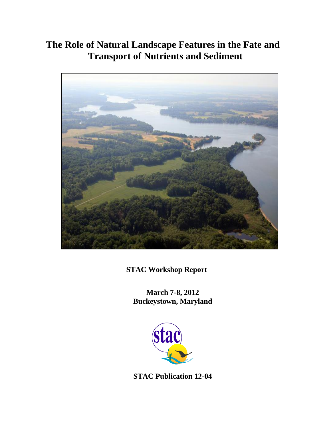# **The Role of Natural Landscape Features in the Fate and Transport of Nutrients and Sediment**



**STAC Workshop Report**

**March 7-8, 2012 Buckeystown, Maryland**



**STAC Publication 12-04**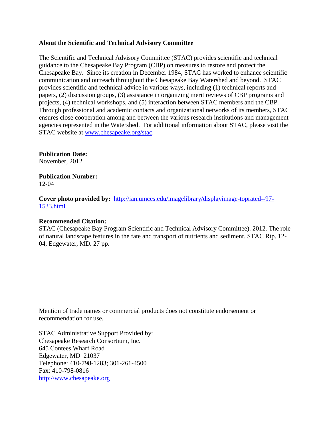# **About the Scientific and Technical Advisory Committee**

The Scientific and Technical Advisory Committee (STAC) provides scientific and technical guidance to the Chesapeake Bay Program (CBP) on measures to restore and protect the Chesapeake Bay. Since its creation in December 1984, STAC has worked to enhance scientific communication and outreach throughout the Chesapeake Bay Watershed and beyond. STAC provides scientific and technical advice in various ways, including (1) technical reports and papers, (2) discussion groups, (3) assistance in organizing merit reviews of CBP programs and projects, (4) technical workshops, and (5) interaction between STAC members and the CBP. Through professional and academic contacts and organizational networks of its members, STAC ensures close cooperation among and between the various research institutions and management agencies represented in the Watershed. For additional information about STAC, please visit the STAC website at [www.chesapeake.org/stac.](http://www.chesapeake.org/stac)

**Publication Date:** November, 2012

**Publication Number:** 12-04

**Cover photo provided by:** [http://ian.umces.edu/imagelibrary/displayimage-toprated--97-](http://ian.umces.edu/imagelibrary/displayimage-toprated--97-1533.html) [1533.html](http://ian.umces.edu/imagelibrary/displayimage-toprated--97-1533.html)

# **Recommended Citation:**

STAC (Chesapeake Bay Program Scientific and Technical Advisory Committee). 2012. The role of natural landscape features in the fate and transport of nutrients and sediment. STAC Rtp. 12- 04, Edgewater, MD. 27 pp.

Mention of trade names or commercial products does not constitute endorsement or recommendation for use.

STAC Administrative Support Provided by: Chesapeake Research Consortium, Inc. 645 Contees Wharf Road Edgewater, MD 21037 Telephone: 410-798-1283; 301-261-4500 Fax: 410-798-0816 [http://www.chesapeake.org](http://www.chesapeake.org/)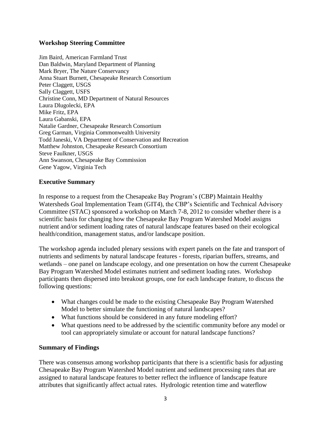# **Workshop Steering Committee**

Jim Baird, American Farmland Trust Dan Baldwin, Maryland Department of Planning Mark Bryer, The Nature Conservancy Anna Stuart Burnett, Chesapeake Research Consortium Peter Claggett, USGS Sally Claggett, USFS Christine Conn, MD Department of Natural Resources Laura Dlugolecki, EPA Mike Fritz, EPA Laura Gabanski, EPA Natalie Gardner, Chesapeake Research Consortium Greg Garman, Virginia Commonwealth University Todd Janeski, VA Department of Conservation and Recreation Matthew Johnston, Chesapeake Research Consortium Steve Faulkner, USGS Ann Swanson, Chesapeake Bay Commission Gene Yagow, Virginia Tech

# **Executive Summary**

In response to a request from the Chesapeake Bay Program's (CBP) Maintain Healthy Watersheds Goal Implementation Team (GIT4), the CBP's Scientific and Technical Advisory Committee (STAC) sponsored a workshop on March 7-8, 2012 to consider whether there is a scientific basis for changing how the Chesapeake Bay Program Watershed Model assigns nutrient and/or sediment loading rates of natural landscape features based on their ecological health/condition, management status, and/or landscape position.

The workshop agenda included plenary sessions with expert panels on the fate and transport of nutrients and sediments by natural landscape features - forests, riparian buffers, streams, and wetlands – one panel on landscape ecology, and one presentation on how the current Chesapeake Bay Program Watershed Model estimates nutrient and sediment loading rates. Workshop participants then dispersed into breakout groups, one for each landscape feature, to discuss the following questions:

- What changes could be made to the existing Chesapeake Bay Program Watershed Model to better simulate the functioning of natural landscapes?
- What functions should be considered in any future modeling effort?
- What questions need to be addressed by the scientific community before any model or tool can appropriately simulate or account for natural landscape functions?

# **Summary of Findings**

There was consensus among workshop participants that there is a scientific basis for adjusting Chesapeake Bay Program Watershed Model nutrient and sediment processing rates that are assigned to natural landscape features to better reflect the influence of landscape feature attributes that significantly affect actual rates. Hydrologic retention time and waterflow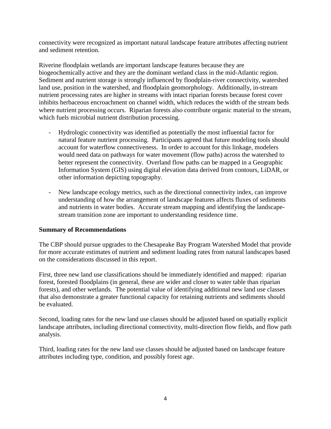connectivity were recognized as important natural landscape feature attributes affecting nutrient and sediment retention.

Riverine floodplain wetlands are important landscape features because they are biogeochemically active and they are the dominant wetland class in the mid-Atlantic region. Sediment and nutrient storage is strongly influenced by floodplain-river connectivity, watershed land use, position in the watershed, and floodplain geomorphology. Additionally, in-stream nutrient processing rates are higher in streams with intact riparian forests because forest cover inhibits herbaceous encroachment on channel width, which reduces the width of the stream beds where nutrient processing occurs. Riparian forests also contribute organic material to the stream, which fuels microbial nutrient distribution processing.

- Hydrologic connectivity was identified as potentially the most influential factor for natural feature nutrient processing. Participants agreed that future modeling tools should account for waterflow connectiveness. In order to account for this linkage, modelers would need data on pathways for water movement (flow paths) across the watershed to better represent the connectivity. Overland flow paths can be mapped in a Geographic Information System (GIS) using digital elevation data derived from contours, LiDAR, or other information depicting topography.
- New landscape ecology metrics, such as the directional connectivity index, can improve understanding of how the arrangement of landscape features affects fluxes of sediments and nutrients in water bodies. Accurate stream mapping and identifying the landscapestream transition zone are important to understanding residence time.

# **Summary of Recommendations**

The CBP should pursue upgrades to the Chesapeake Bay Program Watershed Model that provide for more accurate estimates of nutrient and sediment loading rates from natural landscapes based on the considerations discussed in this report.

First, three new land use classifications should be immediately identified and mapped: riparian forest, forested floodplains (in general, these are wider and closer to water table than riparian forests), and other wetlands. The potential value of identifying additional new land use classes that also demonstrate a greater functional capacity for retaining nutrients and sediments should be evaluated.

Second, loading rates for the new land use classes should be adjusted based on spatially explicit landscape attributes, including directional connectivity, multi-direction flow fields, and flow path analysis.

Third, loading rates for the new land use classes should be adjusted based on landscape feature attributes including type, condition, and possibly forest age.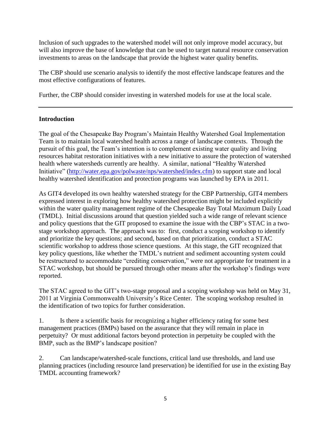Inclusion of such upgrades to the watershed model will not only improve model accuracy, but will also improve the base of knowledge that can be used to target natural resource conservation investments to areas on the landscape that provide the highest water quality benefits.

The CBP should use scenario analysis to identify the most effective landscape features and the most effective configurations of features.

Further, the CBP should consider investing in watershed models for use at the local scale.

# **Introduction**

The goal of the Chesapeake Bay Program's Maintain Healthy Watershed Goal Implementation Team is to maintain local watershed health across a range of landscape contexts. Through the pursuit of this goal, the Team's intention is to complement existing water quality and living resources habitat restoration initiatives with a new initiative to assure the protection of watershed health where watersheds currently are healthy. A similar, national "Healthy Watershed Initiative" [\(http://water.epa.gov/polwaste/nps/watershed/index.cfm\)](http://water.epa.gov/polwaste/nps/watershed/index.cfm) to support state and local healthy watershed identification and protection programs was launched by EPA in 2011.

As GIT4 developed its own healthy watershed strategy for the CBP Partnership, GIT4 members expressed interest in exploring how healthy watershed protection might be included explicitly within the water quality management regime of the Chesapeake Bay Total Maximum Daily Load (TMDL). Initial discussions around that question yielded such a wide range of relevant science and policy questions that the GIT proposed to examine the issue with the CBP's STAC in a twostage workshop approach. The approach was to: first, conduct a scoping workshop to identify and prioritize the key questions; and second, based on that prioritization, conduct a STAC scientific workshop to address those science questions. At this stage, the GIT recognized that key policy questions, like whether the TMDL's nutrient and sediment accounting system could be restructured to accommodate "crediting conservation," were not appropriate for treatment in a STAC workshop, but should be pursued through other means after the workshop's findings were reported.

The STAC agreed to the GIT's two-stage proposal and a scoping workshop was held on May 31, 2011 at Virginia Commonwealth University's Rice Center. The scoping workshop resulted in the identification of two topics for further consideration.

1. Is there a scientific basis for recognizing a higher efficiency rating for some best management practices (BMPs) based on the assurance that they will remain in place in perpetuity? Or must additional factors beyond protection in perpetuity be coupled with the BMP, such as the BMP's landscape position?

2. Can landscape/watershed-scale functions, critical land use thresholds, and land use planning practices (including resource land preservation) be identified for use in the existing Bay TMDL accounting framework?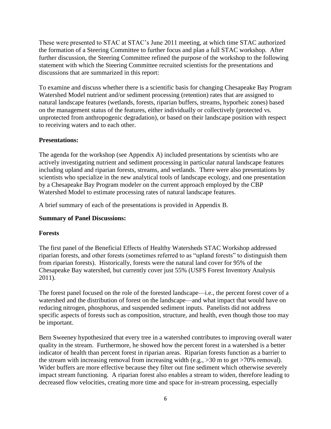These were presented to STAC at STAC's June 2011 meeting, at which time STAC authorized the formation of a Steering Committee to further focus and plan a full STAC workshop. After further discussion, the Steering Committee refined the purpose of the workshop to the following statement with which the Steering Committee recruited scientists for the presentations and discussions that are summarized in this report:

To examine and discuss whether there is a scientific basis for changing Chesapeake Bay Program Watershed Model nutrient and/or sediment processing (retention) rates that are assigned to natural landscape features (wetlands, forests, riparian buffers, streams, hyporheic zones) based on the management status of the features, either individually or collectively (protected vs. unprotected from anthropogenic degradation), or based on their landscape position with respect to receiving waters and to each other.

# **Presentations:**

The agenda for the workshop (see Appendix A) included presentations by scientists who are actively investigating nutrient and sediment processing in particular natural landscape features including upland and riparian forests, streams, and wetlands. There were also presentations by scientists who specialize in the new analytical tools of landscape ecology, and one presentation by a Chesapeake Bay Program modeler on the current approach employed by the CBP Watershed Model to estimate processing rates of natural landscape features.

A brief summary of each of the presentations is provided in Appendix B.

# **Summary of Panel Discussions:**

# **Forests**

The first panel of the Beneficial Effects of Healthy Watersheds STAC Workshop addressed riparian forests, and other forests (sometimes referred to as "upland forests" to distinguish them from riparian forests). Historically, forests were the natural land cover for 95% of the Chesapeake Bay watershed, but currently cover just 55% (USFS Forest Inventory Analysis 2011).

The forest panel focused on the role of the forested landscape—i.e., the percent forest cover of a watershed and the distribution of forest on the landscape—and what impact that would have on reducing nitrogen, phosphorus, and suspended sediment inputs. Panelists did not address specific aspects of forests such as composition, structure, and health, even though those too may be important.

Bern Sweeney hypothesized that every tree in a watershed contributes to improving overall water quality in the stream. Furthermore, he showed how the percent forest in a watershed is a better indicator of health than percent forest in riparian areas. Riparian forests function as a barrier to the stream with increasing removal from increasing width (e.g., >30 m to get >70% removal). Wider buffers are more effective because they filter out fine sediment which otherwise severely impact stream functioning. A riparian forest also enables a stream to widen, therefore leading to decreased flow velocities, creating more time and space for in-stream processing, especially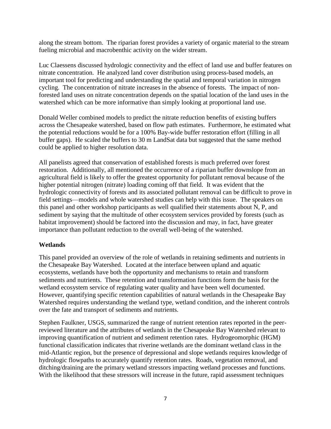along the stream bottom. The riparian forest provides a variety of organic material to the stream fueling microbial and macrobenthic activity on the wider stream.

Luc Claessens discussed hydrologic connectivity and the effect of land use and buffer features on nitrate concentration. He analyzed land cover distribution using process-based models, an important tool for predicting and understanding the spatial and temporal variation in nitrogen cycling. The concentration of nitrate increases in the absence of forests. The impact of nonforested land uses on nitrate concentration depends on the spatial location of the land uses in the watershed which can be more informative than simply looking at proportional land use.

Donald Weller combined models to predict the nitrate reduction benefits of existing buffers across the Chesapeake watershed, based on flow path estimates. Furthermore, he estimated what the potential reductions would be for a 100% Bay-wide buffer restoration effort (filling in all buffer gaps). He scaled the buffers to 30 m LandSat data but suggested that the same method could be applied to higher resolution data.

All panelists agreed that conservation of established forests is much preferred over forest restoration. Additionally, all mentioned the occurrence of a riparian buffer downslope from an agricultural field is likely to offer the greatest opportunity for pollutant removal because of the higher potential nitrogen (nitrate) loading coming off that field. It was evident that the hydrologic connectivity of forests and its associated pollutant removal can be difficult to prove in field settings—models and whole watershed studies can help with this issue. The speakers on this panel and other workshop participants as well qualified their statements about N, P, and sediment by saying that the multitude of other ecosystem services provided by forests (such as habitat improvement) should be factored into the discussion and may, in fact, have greater importance than pollutant reduction to the overall well-being of the watershed.

# **Wetlands**

This panel provided an overview of the role of wetlands in retaining sediments and nutrients in the Chesapeake Bay Watershed. Located at the interface between upland and aquatic ecosystems, wetlands have both the opportunity and mechanisms to retain and transform sediments and nutrients. These retention and transformation functions form the basis for the wetland ecosystem service of regulating water quality and have been well documented. However, quantifying specific retention capabilities of natural wetlands in the Chesapeake Bay Watershed requires understanding the wetland type, wetland condition, and the inherent controls over the fate and transport of sediments and nutrients.

Stephen Faulkner, USGS, summarized the range of nutrient retention rates reported in the peerreviewed literature and the attributes of wetlands in the Chesapeake Bay Watershed relevant to improving quantification of nutrient and sediment retention rates. Hydrogeomorphic (HGM) functional classification indicates that riverine wetlands are the dominant wetland class in the mid-Atlantic region, but the presence of depressional and slope wetlands requires knowledge of hydrologic flowpaths to accurately quantify retention rates. Roads, vegetation removal, and ditching/draining are the primary wetland stressors impacting wetland processes and functions. With the likelihood that these stressors will increase in the future, rapid assessment techniques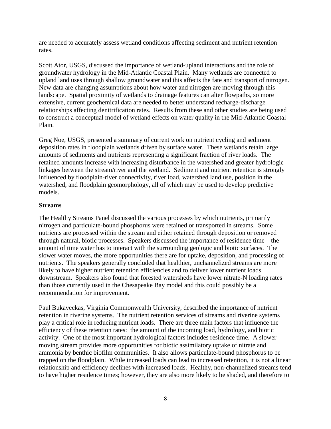are needed to accurately assess wetland conditions affecting sediment and nutrient retention rates.

Scott Ator, USGS, discussed the importance of wetland-upland interactions and the role of groundwater hydrology in the Mid-Atlantic Coastal Plain. Many wetlands are connected to upland land uses through shallow groundwater and this affects the fate and transport of nitrogen. New data are changing assumptions about how water and nitrogen are moving through this landscape. Spatial proximity of wetlands to drainage features can alter flowpaths, so more extensive, current geochemical data are needed to better understand recharge-discharge relationships affecting denitrification rates. Results from these and other studies are being used to construct a conceptual model of wetland effects on water quality in the Mid-Atlantic Coastal Plain.

Greg Noe, USGS, presented a summary of current work on nutrient cycling and sediment deposition rates in floodplain wetlands driven by surface water. These wetlands retain large amounts of sediments and nutrients representing a significant fraction of river loads. The retained amounts increase with increasing disturbance in the watershed and greater hydrologic linkages between the stream/river and the wetland. Sediment and nutrient retention is strongly influenced by floodplain-river connectivity, river load, watershed land use, position in the watershed, and floodplain geomorphology, all of which may be used to develop predictive models.

# **Streams**

The Healthy Streams Panel discussed the various processes by which nutrients, primarily nitrogen and particulate-bound phosphorus were retained or transported in streams. Some nutrients are processed within the stream and either retained through deposition or removed through natural, biotic processes. Speakers discussed the importance of residence time – the amount of time water has to interact with the surrounding geologic and biotic surfaces. The slower water moves, the more opportunities there are for uptake, deposition, and processing of nutrients. The speakers generally concluded that healthier, unchannelized streams are more likely to have higher nutrient retention efficiencies and to deliver lower nutrient loads downstream. Speakers also found that forested watersheds have lower nitrate-N loading rates than those currently used in the Chesapeake Bay model and this could possibly be a recommendation for improvement.

Paul Bukaveckas, Virginia Commonwealth University, described the importance of nutrient retention in riverine systems. The nutrient retention services of streams and riverine systems play a critical role in reducing nutrient loads. There are three main factors that influence the efficiency of these retention rates: the amount of the incoming load, hydrology, and biotic activity. One of the most important hydrological factors includes residence time. A slower moving stream provides more opportunities for biotic assimilatory uptake of nitrate and ammonia by benthic biofilm communities. It also allows particulate-bound phosphorus to be trapped on the floodplain. While increased loads can lead to increased retention, it is not a linear relationship and efficiency declines with increased loads. Healthy, non-channelized streams tend to have higher residence times; however, they are also more likely to be shaded, and therefore to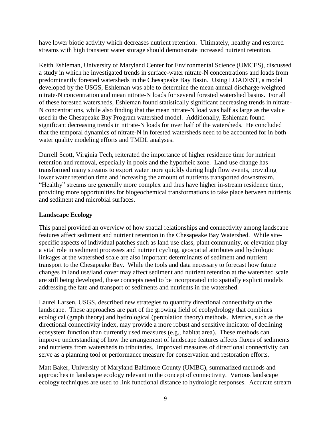have lower biotic activity which decreases nutrient retention. Ultimately, healthy and restored streams with high transient water storage should demonstrate increased nutrient retention.

Keith Eshleman, University of Maryland Center for Environmental Science (UMCES), discussed a study in which he investigated trends in surface-water nitrate-N concentrations and loads from predominantly forested watersheds in the Chesapeake Bay Basin. Using LOADEST, a model developed by the USGS, Eshleman was able to determine the mean annual discharge-weighted nitrate-N concentration and mean nitrate-N loads for several forested watershed basins. For all of these forested watersheds, Eshleman found statistically significant decreasing trends in nitrate-N concentrations, while also finding that the mean nitrate-N load was half as large as the value used in the Chesapeake Bay Program watershed model. Additionally, Eshleman found significant decreasing trends in nitrate-N loads for over half of the watersheds. He concluded that the temporal dynamics of nitrate-N in forested watersheds need to be accounted for in both water quality modeling efforts and TMDL analyses.

Durrell Scott, Virginia Tech, reiterated the importance of higher residence time for nutrient retention and removal, especially in pools and the hyporheic zone. Land use change has transformed many streams to export water more quickly during high flow events, providing lower water retention time and increasing the amount of nutrients transported downstream. "Healthy" streams are generally more complex and thus have higher in-stream residence time, providing more opportunities for biogeochemical transformations to take place between nutrients and sediment and microbial surfaces.

# **Landscape Ecology**

This panel provided an overview of how spatial relationships and connectivity among landscape features affect sediment and nutrient retention in the Chesapeake Bay Watershed. While sitespecific aspects of individual patches such as land use class, plant community, or elevation play a vital role in sediment processes and nutrient cycling, geospatial attributes and hydrologic linkages at the watershed scale are also important determinants of sediment and nutrient transport to the Chesapeake Bay. While the tools and data necessary to forecast how future changes in land use/land cover may affect sediment and nutrient retention at the watershed scale are still being developed, these concepts need to be incorporated into spatially explicit models addressing the fate and transport of sediments and nutrients in the watershed.

Laurel Larsen, USGS, described new strategies to quantify directional connectivity on the landscape. These approaches are part of the growing field of ecohydrology that combines ecological (graph theory) and hydrological (percolation theory) methods. Metrics, such as the directional connectivity index, may provide a more robust and sensitive indicator of declining ecosystem function than currently used measures (e.g., habitat area). These methods can improve understanding of how the arrangement of landscape features affects fluxes of sediments and nutrients from watersheds to tributaries. Improved measures of directional connectivity can serve as a planning tool or performance measure for conservation and restoration efforts.

Matt Baker, University of Maryland Baltimore County (UMBC), summarized methods and approaches in landscape ecology relevant to the concept of connectivity. Various landscape ecology techniques are used to link functional distance to hydrologic responses. Accurate stream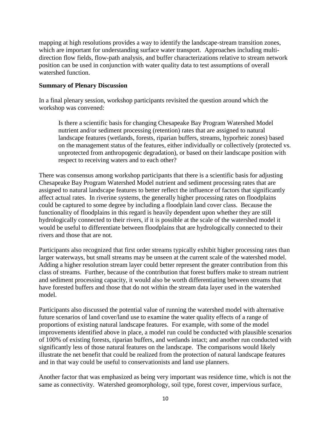mapping at high resolutions provides a way to identify the landscape-stream transition zones, which are important for understanding surface water transport. Approaches including multidirection flow fields, flow-path analysis, and buffer characterizations relative to stream network position can be used in conjunction with water quality data to test assumptions of overall watershed function.

# **Summary of Plenary Discussion**

In a final plenary session, workshop participants revisited the question around which the workshop was convened:

Is there a scientific basis for changing Chesapeake Bay Program Watershed Model nutrient and/or sediment processing (retention) rates that are assigned to natural landscape features (wetlands, forests, riparian buffers, streams, hyporheic zones) based on the management status of the features, either individually or collectively (protected vs. unprotected from anthropogenic degradation), or based on their landscape position with respect to receiving waters and to each other?

There was consensus among workshop participants that there is a scientific basis for adjusting Chesapeake Bay Program Watershed Model nutrient and sediment processing rates that are assigned to natural landscape features to better reflect the influence of factors that significantly affect actual rates. In riverine systems, the generally higher processing rates on floodplains could be captured to some degree by including a floodplain land cover class. Because the functionality of floodplains in this regard is heavily dependent upon whether they are still hydrologically connected to their rivers, if it is possible at the scale of the watershed model it would be useful to differentiate between floodplains that are hydrologically connected to their rivers and those that are not.

Participants also recognized that first order streams typically exhibit higher processing rates than larger waterways, but small streams may be unseen at the current scale of the watershed model. Adding a higher resolution stream layer could better represent the greater contribution from this class of streams. Further, because of the contribution that forest buffers make to stream nutrient and sediment processing capacity, it would also be worth differentiating between streams that have forested buffers and those that do not within the stream data layer used in the watershed model.

Participants also discussed the potential value of running the watershed model with alternative future scenarios of land cover/land use to examine the water quality effects of a range of proportions of existing natural landscape features. For example, with some of the model improvements identified above in place, a model run could be conducted with plausible scenarios of 100% of existing forests, riparian buffers, and wetlands intact; and another run conducted with significantly less of those natural features on the landscape. The comparisons would likely illustrate the net benefit that could be realized from the protection of natural landscape features and in that way could be useful to conservationists and land use planners.

Another factor that was emphasized as being very important was residence time, which is not the same as connectivity. Watershed geomorphology, soil type, forest cover, impervious surface,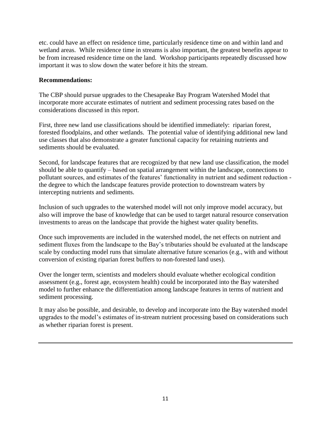etc. could have an effect on residence time, particularly residence time on and within land and wetland areas. While residence time in streams is also important, the greatest benefits appear to be from increased residence time on the land. Workshop participants repeatedly discussed how important it was to slow down the water before it hits the stream.

# **Recommendations:**

The CBP should pursue upgrades to the Chesapeake Bay Program Watershed Model that incorporate more accurate estimates of nutrient and sediment processing rates based on the considerations discussed in this report.

First, three new land use classifications should be identified immediately: riparian forest, forested floodplains, and other wetlands. The potential value of identifying additional new land use classes that also demonstrate a greater functional capacity for retaining nutrients and sediments should be evaluated.

Second, for landscape features that are recognized by that new land use classification, the model should be able to quantify – based on spatial arrangement within the landscape, connections to pollutant sources, and estimates of the features' functionality in nutrient and sediment reduction the degree to which the landscape features provide protection to downstream waters by intercepting nutrients and sediments.

Inclusion of such upgrades to the watershed model will not only improve model accuracy, but also will improve the base of knowledge that can be used to target natural resource conservation investments to areas on the landscape that provide the highest water quality benefits.

Once such improvements are included in the watershed model, the net effects on nutrient and sediment fluxes from the landscape to the Bay's tributaries should be evaluated at the landscape scale by conducting model runs that simulate alternative future scenarios (e.g., with and without conversion of existing riparian forest buffers to non-forested land uses).

Over the longer term, scientists and modelers should evaluate whether ecological condition assessment (e.g., forest age, ecosystem health) could be incorporated into the Bay watershed model to further enhance the differentiation among landscape features in terms of nutrient and sediment processing.

It may also be possible, and desirable, to develop and incorporate into the Bay watershed model upgrades to the model's estimates of in-stream nutrient processing based on considerations such as whether riparian forest is present.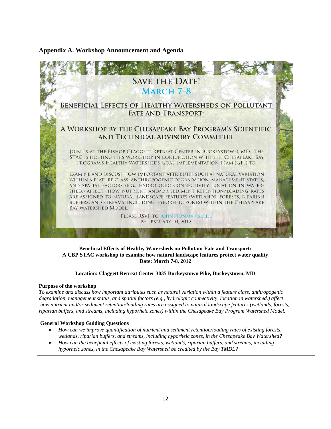# **Appendix A. Workshop Announcement and Agenda**



### **Beneficial Effects of Healthy Watersheds on Pollutant Fate and Transport: A CBP STAC workshop to examine how natural landscape features protect water quality Date: March 7-8, 2012**

### **Location: Claggett Retreat Center 3035 Buckeystown Pike, Buckeystown, MD**

#### **Purpose of the workshop**

*To examine and discuss how important attributes such as natural variation within a feature class, anthropogenic degradation, management status, and spatial factors (e.g., hydrologic connectivity, location in watershed.) affect how nutrient and/or sediment retention/loading rates are assigned to natural landscape features (wetlands, forests, riparian buffers, and streams, including hyporheic zones) within the Chesapeake Bay Program Watershed Model.*

#### **General Workshop Guiding Questions**

- *How can we improve quantification of nutrient and sediment retention/loading rates of existing forests, wetlands, riparian buffers, and streams, including hyporheic zones, in the Chesapeake Bay Watershed?*
- *How can the beneficial effects of existing forests, wetlands, riparian buffers, and streams, including hyporheic zones, in the Chesapeake Bay Watershed be credited by the Bay TMDL?*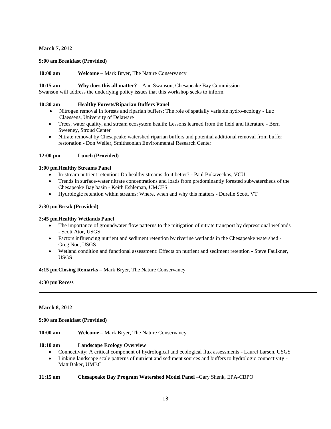### **March 7, 2012**

### **9:00 am Breakfast (Provided)**

**10:00 am Welcome –** Mark Bryer, The Nature Conservancy

**10:15 am Why does this all matter? –** Ann Swanson, Chesapeake Bay Commission Swanson will address the underlying policy issues that this workshop seeks to inform.

#### **10:30 am Healthy Forests/Riparian Buffers Panel**

- Nitrogen removal in forests and riparian buffers: The role of spatially variable hydro-ecology Luc Claessens, University of Delaware
- Trees, water quality, and stream ecosystem health: Lessons learned from the field and literature Bern Sweeney, Stroud Center
- Nitrate removal by Chesapeake watershed riparian buffers and potential additional removal from buffer restoration - Don Weller, Smithsonian Environmental Research Center

### **12:00 pm Lunch (Provided)**

### **1:00 pmHealthy Streams Panel**

- In-stream nutrient retention: Do healthy streams do it better? Paul Bukaveckas, VCU
- Trends in surface-water nitrate concentrations and loads from predominantly forested subwatersheds of the Chesapeake Bay basin - Keith Eshleman, UMCES
- Hydrologic retention within streams: Where, when and why this matters Durelle Scott, VT

### **2:30 pmBreak (Provided)**

#### **2:45 pmHealthy Wetlands Panel**

- The importance of groundwater flow patterns to the mitigation of nitrate transport by depressional wetlands - Scott Ator, USGS
- Factors influencing nutrient and sediment retention by riverine wetlands in the Chesapeake watershed Greg Noe, USGS
- Wetland condition and functional assessment: Effects on nutrient and sediment retention Steve Faulkner, USGS

#### **4:15 pmClosing Remarks –** Mark Bryer, The Nature Conservancy

#### **4:30 pmRecess**

#### **March 8, 2012**

#### **9:00 am Breakfast (Provided)**

**10:00 am Welcome –** Mark Bryer, The Nature Conservancy

### **10:10 am Landscape Ecology Overview**

- Connectivity: A critical component of hydrological and ecological flux assessments Laurel Larsen, USGS
- Linking landscape scale patterns of nutrient and sediment sources and buffers to hydrologic connectivity Matt Baker, UMBC

## **11:15 am Chesapeake Bay Program Watershed Model Panel** –Gary Shenk, EPA-CBPO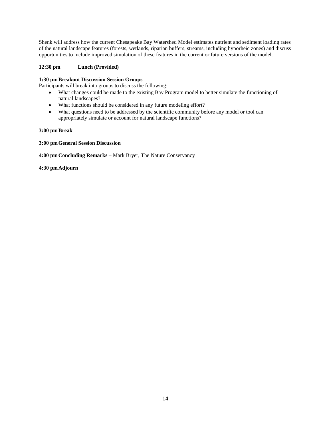Shenk will address how the current Chesapeake Bay Watershed Model estimates nutrient and sediment loading rates of the natural landscape features (forests, wetlands, riparian buffers, streams, including hyporheic zones) and discuss opportunities to include improved simulation of these features in the current or future versions of the model.

# **12:30 pm Lunch (Provided)**

### **1:30 pmBreakout Discussion Session Groups**

Participants will break into groups to discuss the following:

- What changes could be made to the existing Bay Program model to better simulate the functioning of natural landscapes?
- What functions should be considered in any future modeling effort?
- What questions need to be addressed by the scientific community before any model or tool can appropriately simulate or account for natural landscape functions?

### **3:00 pmBreak**

**3:00 pmGeneral Session Discussion** 

**4:00 pmConcluding Remarks –** Mark Bryer, The Nature Conservancy

**4:30 pmAdjourn**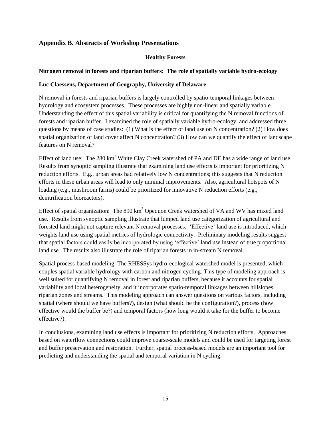# **Appendix B. Abstracts of Workshop Presentations**

# **Healthy Forests**

# **Nitrogen removal in forests and riparian buffers: The role of spatially variable hydro-ecology**

# **Luc Claessens, Department of Geography, University of Delaware**

N removal in forests and riparian buffers is largely controlled by spatio-temporal linkages between hydrology and ecosystem processes. These processes are highly non-linear and spatially variable. Understanding the effect of this spatial variability is critical for quantifying the N removal functions of forests and riparian buffer. I examined the role of spatially variable hydro-ecology, and addressed three questions by means of case studies: (1) What is the effect of land use on N concentration? (2) How does spatial organization of land cover affect N concentration? (3) How can we quantify the effect of landscape features on N removal?

Effect of land use: The 280 km<sup>2</sup> White Clay Creek watershed of PA and DE has a wide range of land use. Results from synoptic sampling illustrate that examining land use effects is important for prioritizing N reduction efforts. E.g., urban areas had relatively low N concentrations; this suggests that N reduction efforts in these urban areas will lead to only minimal improvements. Also, agricultural hotspots of N loading (e.g., mushroom farms) could be prioritized for innovative N reduction efforts (e.g., denitrification bioreactors).

Effect of spatial organization: The 890 km<sup>2</sup> Opequon Creek watershed of VA and WV has mixed land use. Results from synoptic sampling illustrate that lumped land use categorization of agricultural and forested land might not capture relevant N removal processes. 'Effective' land use is introduced, which weights land use using spatial metrics of hydrologic connectivity. Preliminary modeling results suggest that spatial factors could easily be incorporated by using 'effective' land use instead of true proportional land use. The results also illustrate the role of riparian forests in in-stream N removal.

Spatial process-based modeling: The RHESSys hydro-ecological watershed model is presented, which couples spatial variable hydrology with carbon and nitrogen cycling. This type of modeling approach is well suited for quantifying N removal in forest and riparian buffers, because it accounts for spatial variability and local heterogeneity, and it incorporates spatio-temporal linkages between hillslopes, riparian zones and streams. This modeling approach can answer questions on various factors, including spatial (where should we have buffers?), design (what should be the configuration?), process (how effective would the buffer be?) and temporal factors (how long would it take for the buffer to become effective?).

In conclusions, examining land use effects is important for prioritizing N reduction efforts. Approaches based on waterflow connections could improve coarse-scale models and could be used for targeting forest and buffer preservation and restoration. Further, spatial process-based models are an important tool for predicting and understanding the spatial and temporal variation in N cycling.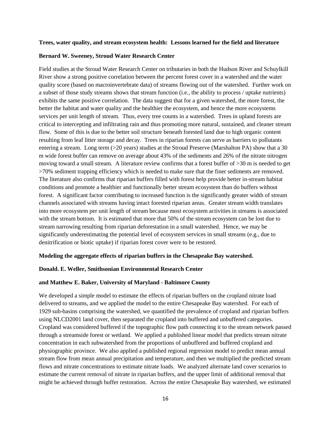#### **Trees, water quality, and stream ecosystem health: Lessons learned for the field and literature**

### **Bernard W. Sweeney, Stroud Water Research Center**

Field studies at the Stroud Water Research Center on tributaries in both the Hudson River and Schuylkill River show a strong positive correlation between the percent forest cover in a watershed and the water quality score (based on macroinvertebrate data) of streams flowing out of the watershed. Further work on a subset of those study streams shows that stream function (i.e., the ability to process / uptake nutrients) exhibits the same positive correlation. The data suggest that for a given watershed, the more forest, the better the habitat and water quality and the healthier the ecosystem, and hence the more ecosystems services per unit length of stream. Thus, every tree counts in a watershed. Trees in upland forests are critical to intercepting and infiltrating rain and thus promoting more natural, sustained, and cleaner stream flow. Some of this is due to the better soil structure beneath forested land due to high organic content resulting from leaf litter storage and decay. Trees in riparian forests can serve as barriers to pollutants entering a stream. Long term (>20 years) studies at the Stroud Preserve (Marshalton PA) show that a 30 m wide forest buffer can remove on average about 43% of the sediments and 26% of the nitrate nitrogen moving toward a small stream. A literature review confirms that a forest buffer of >30 m is needed to get >70% sediment trapping efficiency which is needed to make sure that the finer sediments are removed. The literature also confirms that riparian buffers filled with forest help provide better in-stream habitat conditions and promote a healthier and functionally better stream ecosystem than do buffers without forest. A significant factor contributing to increased function is the significantly greater width of stream channels associated with streams having intact forested riparian areas. Greater stream width translates into more ecosystem per unit length of stream because most ecosystem activities in streams is associated with the stream bottom. It is estimated that more that 50% of the stream ecosystem can be lost due to stream narrowing resulting from riparian deforestation in a small watershed. Hence, we may be significantly underestimating the potential level of ecosystem services in small streams (e.g., due to denitrification or biotic uptake) if riparian forest cover were to be restored.

### **Modeling the aggregate effects of riparian buffers in the Chesapeake Bay watershed.**

#### **Donald. E. Weller, Smithsonian Environmental Research Center**

#### **and Matthew E. Baker, University of Maryland - Baltimore County**

We developed a simple model to estimate the effects of riparian buffers on the cropland nitrate load delivered to streams, and we applied the model to the entire Chesapeake Bay watershed. For each of 1929 sub-basins comprising the watershed, we quantified the prevalence of cropland and riparian buffers using NLCD2001 land cover, then separated the cropland into buffered and unbuffered categories. Cropland was considered buffered if the topographic flow path connecting it to the stream network passed through a streamside forest or wetland. We applied a published linear model that predicts stream nitrate concentration in each subwatershed from the proportions of unbuffered and buffered cropland and physiographic province. We also applied a published regional regression model to predict mean annual stream flow from mean annual precipitation and temperature, and then we multiplied the predicted stream flows and nitrate concentrations to estimate nitrate loads. We analyzed alternate land cover scenarios to estimate the current removal of nitrate in riparian buffers, and the upper limit of additional removal that might be achieved through buffer restoration. Across the entire Chesapeake Bay watershed, we estimated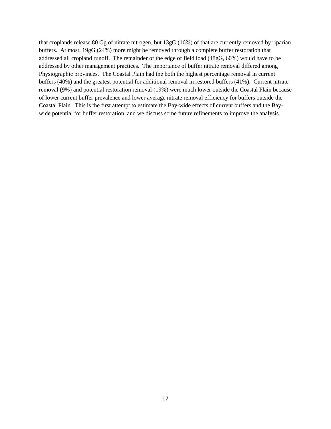that croplands release 80 Gg of nitrate nitrogen, but 13gG (16%) of that are currently removed by riparian buffers. At most, 19gG (24%) more might be removed through a complete buffer restoration that addressed all cropland runoff. The remainder of the edge of field load (48gG, 60%) would have to be addressed by other management practices. The importance of buffer nitrate removal differed among Physiographic provinces. The Coastal Plain had the both the highest percentage removal in current buffers (40%) and the greatest potential for additional removal in restored buffers (41%). Current nitrate removal (9%) and potential restoration removal (19%) were much lower outside the Coastal Plain because of lower current buffer prevalence and lower average nitrate removal efficiency for buffers outside the Coastal Plain. This is the first attempt to estimate the Bay-wide effects of current buffers and the Baywide potential for buffer restoration, and we discuss some future refinements to improve the analysis.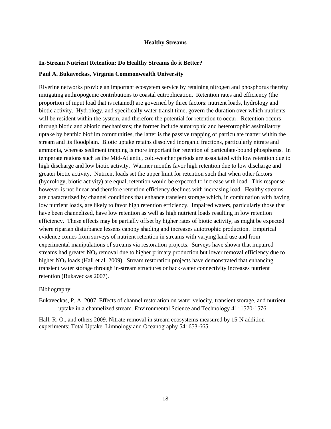### **Healthy Streams**

### **In-Stream Nutrient Retention: Do Healthy Streams do it Better?**

#### **Paul A. Bukaveckas, Virginia Commonwealth University**

Riverine networks provide an important ecosystem service by retaining nitrogen and phosphorus thereby mitigating anthropogenic contributions to coastal eutrophication. Retention rates and efficiency (the proportion of input load that is retained) are governed by three factors: nutrient loads, hydrology and biotic activity. Hydrology, and specifically water transit time, govern the duration over which nutrients will be resident within the system, and therefore the potential for retention to occur. Retention occurs through biotic and abiotic mechanisms; the former include autotrophic and heterotrophic assimilatory uptake by benthic biofilm communities, the latter is the passive trapping of particulate matter within the stream and its floodplain. Biotic uptake retains dissolved inorganic fractions, particularly nitrate and ammonia, whereas sediment trapping is more important for retention of particulate-bound phosphorus. In temperate regions such as the Mid-Atlantic, cold-weather periods are associated with low retention due to high discharge and low biotic activity. Warmer months favor high retention due to low discharge and greater biotic activity. Nutrient loads set the upper limit for retention such that when other factors (hydrology, biotic activity) are equal, retention would be expected to increase with load. This response however is not linear and therefore retention efficiency declines with increasing load. Healthy streams are characterized by channel conditions that enhance transient storage which, in combination with having low nutrient loads, are likely to favor high retention efficiency. Impaired waters, particularly those that have been channelized, have low retention as well as high nutrient loads resulting in low retention efficiency. These effects may be partially offset by higher rates of biotic activity, as might be expected where riparian disturbance lessens canopy shading and increases autotrophic production. Empirical evidence comes from surveys of nutrient retention in streams with varying land use and from experimental manipulations of streams via restoration projects. Surveys have shown that impaired streams had greater  $NO<sub>3</sub>$  removal due to higher primary production but lower removal efficiency due to higher  $NO<sub>3</sub>$  loads (Hall et al. 2009). Stream restoration projects have demonstrated that enhancing transient water storage through in-stream structures or back-water connectivity increases nutrient retention (Bukaveckas 2007).

### Bibliography

Bukaveckas, P. A. 2007. Effects of channel restoration on water velocity, transient storage, and nutrient uptake in a channelized stream. Environmental Science and Technology 41: 1570-1576.

Hall, R. O., and others 2009. Nitrate removal in stream ecosystems measured by 15-N addition experiments: Total Uptake. Limnology and Oceanography 54: 653-665.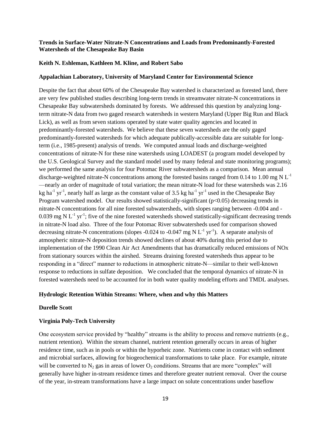## **Trends in Surface-Water Nitrate-N Concentrations and Loads from Predominantly-Forested Watersheds of the Chesapeake Bay Basin**

#### **Keith N. Eshleman, Kathleen M. Kline, and Robert Sabo**

### **Appalachian Laboratory, University of Maryland Center for Environmental Science**

Despite the fact that about 60% of the Chesapeake Bay watershed is characterized as forested land, there are very few published studies describing long-term trends in streamwater nitrate-N concentrations in Chesapeake Bay subwatersheds dominated by forests. We addressed this question by analyzing longterm nitrate-N data from two gaged research watersheds in western Maryland (Upper Big Run and Black Lick), as well as from seven stations operated by state water quality agencies and located in predominantly-forested watersheds. We believe that these seven watersheds are the only gaged predominantly-forested watersheds for which adequate publically-accessible data are suitable for longterm (i.e., 1985-present) analysis of trends. We computed annual loads and discharge-weighted concentrations of nitrate-N for these nine watersheds using LOADEST (a program model developed by the U.S. Geological Survey and the standard model used by many federal and state monitoring programs); we performed the same analysis for four Potomac River subwatersheds as a comparison. Mean annual discharge-weighted nitrate-N concentrations among the forested basins ranged from 0.14 to 1.00 mg N  $L^{-1}$ —nearly an order of magnitude of total variation; the mean nitrate-N load for these watersheds was 2.16 kg ha<sup>-1</sup> yr<sup>-1</sup>, nearly half as large as the constant value of 3.5 kg ha<sup>-1</sup> yr<sup>-1</sup> used in the Chesapeake Bay Program watershed model. Our results showed statistically-significant ( $p<0.05$ ) decreasing trends in nitrate-N concentrations for all nine forested subwatersheds, with slopes ranging between -0.004 and - 0.039 mg N  $L^{-1}$  yr<sup>-1</sup>; five of the nine forested watersheds showed statistically-significant decreasing trends in nitrate-N load also. Three of the four Potomac River subwatersheds used for comparison showed decreasing nitrate-N concentrations (slopes -0.024 to -0.047 mg N  $L^{-1}$  yr<sup>-1</sup>). A separate analysis of atmospheric nitrate-N deposition trends showed declines of about 40% during this period due to implementation of the 1990 Clean Air Act Amendments that has dramatically reduced emissions of NOx from stationary sources within the airshed. Streams draining forested watersheds thus appear to be responding in a "direct" manner to reductions in atmospheric nitrate-N—similar to their well-known response to reductions in sulfate deposition. We concluded that the temporal dynamics of nitrate-N in forested watersheds need to be accounted for in both water quality modeling efforts and TMDL analyses.

# **Hydrologic Retention Within Streams: Where, when and why this Matters**

#### **Durelle Scott**

#### **Virginia Poly-Tech University**

One ecosystem service provided by "healthy" streams is the ability to process and remove nutrients (e.g., nutrient retention). Within the stream channel, nutrient retention generally occurs in areas of higher residence time, such as in pools or within the hyporheic zone. Nutrients come in contact with sediment and microbial surfaces, allowing for biogeochemical transformations to take place. For example, nitrate will be converted to  $N_2$  gas in areas of lower  $O_2$  conditions. Streams that are more "complex" will generally have higher in-stream residence times and therefore greater nutrient removal. Over the course of the year, in-stream transformations have a large impact on solute concentrations under baseflow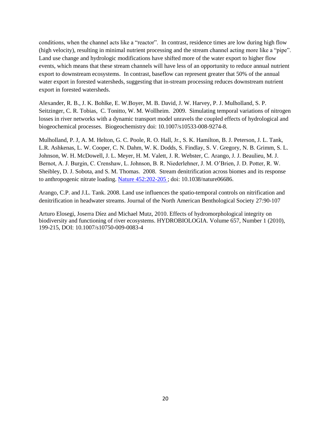conditions, when the channel acts like a "reactor". In contrast, residence times are low during high flow (high velocity), resulting in minimal nutrient processing and the stream channel acting more like a "pipe". Land use change and hydrologic modifications have shifted more of the water export to higher flow events, which means that these stream channels will have less of an opportunity to reduce annual nutrient export to downstream ecosystems. In contrast, baseflow can represent greater that 50% of the annual water export in forested watersheds, suggesting that in-stream processing reduces downstream nutrient export in forested watersheds.

Alexander, R. B., J. K. Bohlke, E. W.Boyer, M. B. David, J. W. Harvey, P. J. Mulholland, S. P. Seitzinger, C. R. Tobias, C. Tonitto, W. M. Wollheim. 2009. Simulating temporal variations of nitrogen losses in river networks with a dynamic transport model unravels the coupled effects of hydrological and biogeochemical processes. Biogeochemistry doi: 10.1007/s10533-008-9274-8.

Mulholland, P. J, A. M. Helton, G. C. Poole, R. O. Hall, Jr., S. K. Hamilton, B. J. Peterson, J. L. Tank, L.R. Ashkenas, L. W. Cooper, C. N. Dahm, W. K. Dodds, S. Findlay, S. V. Gregory, N. B. Grimm, S. L. Johnson, W. H. McDowell, J. L. Meyer, H. M. Valett, J. R. Webster, C. Arango, J. J. Beaulieu, M. J. Bernot, A. J. Burgin, C. Crenshaw, L. Johnson, B. R. Niederlehner, J. M. O'Brien, J. D. Potter, R. W. Sheibley, D. J. Sobota, and S. M. Thomas. 2008. Stream denitrification across biomes and its response to anthropogenic nitrate loading. [Nature 452:202-205 ;](http://www.esd.ornl.gov/people/mulholland/pubs/Mulholland%20et%20al%202008_Nature_Stream%20N%20uptake%20and%20denitrification.pdf) doi: 10.1038/nature06686.

Arango, C.P. and J.L. Tank. 2008. Land use influences the spatio-temporal controls on nitrification and denitrification in headwater streams. Journal of the North American Benthological Society 27:90-107

Arturo Elosegi, Joserra Díez and Michael Mutz, 2010. Effects of hydromorphological integrity on biodiversity and functioning of river ecosystems. HYDROBIOLOGIA. Volume 657, Number 1 (2010), 199-215, DOI: 10.1007/s10750-009-0083-4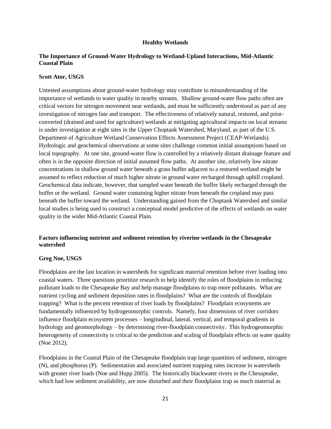## **Healthy Wetlands**

# **The Importance of Ground-Water Hydrology to Wetland-Upland Interactions, Mid-Atlantic Coastal Plain**

### **Scott Ator, USGS**

Untested assumptions about ground-water hydrology may contribute to misunderstanding of the importance of wetlands to water quality in nearby streams. Shallow ground-water flow paths often are critical vectors for nitrogen movement near wetlands, and must be sufficiently understood as part of any investigation of nitrogen fate and transport. The effectiveness of relatively natural, restored, and priorconverted (drained and used for agriculture) wetlands at mitigating agricultural impacts on local streams is under investigation at eight sites in the Upper Choptank Watershed, Maryland, as part of the U.S. Department of Agriculture Wetland Conservation Effects Assessment Project (CEAP-Wetlands). Hydrologic and geochemical observations at some sites challenge common initial assumptions based on local topography. At one site, ground-water flow is controlled by a relatively distant drainage feature and often is in the opposite direction of initial assumed flow paths. At another site, relatively low nitrate concentrations in shallow ground water beneath a grass buffer adjacent to a restored wetland might be assumed to reflect reduction of much higher nitrate in ground water recharged through uphill cropland. Geochemical data indicate, however, that sampled water beneath the buffer likely recharged through the buffer or the wetland. Ground water containing higher nitrate from beneath the cropland may pass beneath the buffer toward the wetland. Understanding gained from the Choptank Watershed and similar local studies is being used to construct a conceptual model predictive of the effects of wetlands on water quality in the wider Mid-Atlantic Coastal Plain.

# **Factors influencing nutrient and sediment retention by riverine wetlands in the Chesapeake watershed**

### **Greg Noe, USGS**

Floodplains are the last location in watersheds for significant material retention before river loading into coastal waters. Three questions prioritize research to help identify the roles of floodplains in reducing pollutant loads to the Chesapeake Bay and help manage floodplains to trap more pollutants. What are nutrient cycling and sediment deposition rates in floodplains? What are the controls of floodplain trapping? What is the percent retention of river loads by floodplains? Floodplain ecosystems are fundamentally influenced by hydrogeomorphic controls. Namely, four dimensions of river corridors influence floodplain ecosystem processes – longitudinal, lateral, vertical, and temporal gradients in hydrology and geomorphology – by determining river-floodplain connectivity. This hydrogeomorphic heterogeneity of connectivity is critical to the prediction and scaling of floodplain effects on water quality (Noe 2012).

Floodplains in the Coastal Plain of the Chesapeake floodplain trap large quantities of sediment, nitrogen (N), and phosphorus (P). Sedimentation and associated nutrient trapping rates increase in watersheds with greater river loads (Noe and Hupp 2005). The historically blackwater rivers in the Chesapeake, which had low sediment availability, are now disturbed and their floodplains trap as much material as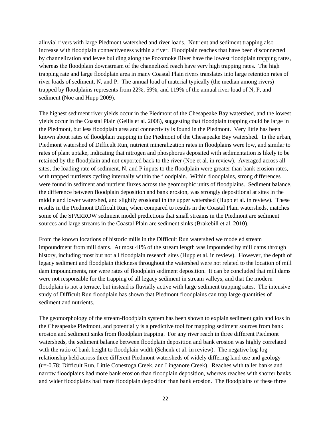alluvial rivers with large Piedmont watershed and river loads. Nutrient and sediment trapping also increase with floodplain connectiveness within a river. Floodplain reaches that have been disconnected by channelization and levee building along the Pocomoke River have the lowest floodplain trapping rates, whereas the floodplain downstream of the channelized reach have very high trapping rates. The high trapping rate and large floodplain area in many Coastal Plain rivers translates into large retention rates of river loads of sediment, N, and P. The annual load of material typically (the median among rivers) trapped by floodplains represents from 22%, 59%, and 119% of the annual river load of N, P, and sediment (Noe and Hupp 2009).

The highest sediment river yields occur in the Piedmont of the Chesapeake Bay watershed, and the lowest yields occur in the Coastal Plain (Gellis et al. 2008), suggesting that floodplain trapping could be large in the Piedmont, but less floodplain area and connectivity is found in the Piedmont. Very little has been known about rates of floodplain trapping in the Piedmont of the Chesapeake Bay watershed. In the urban, Piedmont watershed of Difficult Run, nutrient mineralization rates in floodplains were low, and similar to rates of plant uptake, indicating that nitrogen and phosphorus deposited with sedimentation is likely to be retained by the floodplain and not exported back to the river (Noe et al. in review). Averaged across all sites, the loading rate of sediment, N, and P inputs to the floodplain were greater than bank erosion rates, with trapped nutrients cycling internally within the floodplain. Within floodplains, strong differences were found in sediment and nutrient fluxes across the geomorphic units of floodplains. Sediment balance, the difference between floodplain deposition and bank erosion, was strongly depositional at sites in the middle and lower watershed, and slightly erosional in the upper watershed (Hupp et al. in review). These results in the Piedmont Difficult Run, when compared to results in the Coastal Plain watersheds, matches some of the SPARROW sediment model predictions that small streams in the Piedmont are sediment sources and large streams in the Coastal Plain are sediment sinks (Brakebill et al. 2010).

From the known locations of historic mills in the Difficult Run watershed we modeled stream impoundment from mill dams. At most 41% of the stream length was impounded by mill dams through history, including most but not all floodplain research sites (Hupp et al. in review). However, the depth of legacy sediment and floodplain thickness throughout the watershed were not related to the location of mill dam impoundments, nor were rates of floodplain sediment deposition. It can be concluded that mill dams were not responsible for the trapping of all legacy sediment in stream valleys, and that the modern floodplain is not a terrace, but instead is fluvially active with large sediment trapping rates. The intensive study of Difficult Run floodplain has shown that Piedmont floodplains can trap large quantities of sediment and nutrients.

The geomorphology of the stream-floodplain system has been shown to explain sediment gain and loss in the Chesapeake Piedmont, and potentially is a predictive tool for mapping sediment sources from bank erosion and sediment sinks from floodplain trapping. For any river reach in three different Piedmont watersheds, the sediment balance between floodplain deposition and bank erosion was highly correlated with the ratio of bank height to floodplain width (Schenk et al. in review). The negative log-log relationship held across three different Piedmont watersheds of widely differing land use and geology (*r*=-0.78; Difficult Run, Little Conestoga Creek, and Linganore Creek). Reaches with taller banks and narrow floodplains had more bank erosion than floodplain deposition, whereas reaches with shorter banks and wider floodplains had more floodplain deposition than bank erosion. The floodplains of these three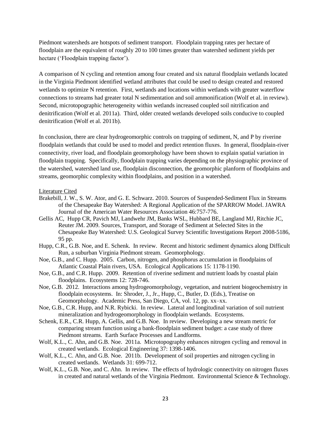Piedmont watersheds are hotspots of sediment transport. Floodplain trapping rates per hectare of floodplain are the equivalent of roughly 20 to 100 times greater than watershed sediment yields per hectare ('Floodplain trapping factor').

A comparison of N cycling and retention among four created and six natural floodplain wetlands located in the Virginia Piedmont identified wetland attributes that could be used to design created and restored wetlands to optimize N retention. First, wetlands and locations within wetlands with greater waterflow connections to streams had greater total N sedimentation and soil ammonification (Wolf et al. in review). Second, microtopographic heterogeneity within wetlands increased coupled soil nitrification and denitrification (Wolf et al. 2011a). Third, older created wetlands developed soils conducive to coupled denitrification (Wolf et al. 2011b).

In conclusion, there are clear hydrogeomorphic controls on trapping of sediment, N, and P by riverine floodplain wetlands that could be used to model and predict retention fluxes. In general, floodplain-river connectivity, river load, and floodplain geomorphology have been shown to explain spatial variation in floodplain trapping. Specifically, floodplain trapping varies depending on the physiographic province of the watershed, watershed land use, floodplain disconnection, the geomorphic planform of floodplains and streams, geomorphic complexity within floodplains, and position in a watershed.

### Literature Cited

- Brakebill, J. W., S. W. Ator, and G. E. Schwarz. 2010. Sources of Suspended-Sediment Flux in Streams of the Chesapeake Bay Watershed: A Regional Application of the SPARROW Model. JAWRA Journal of the American Water Resources Association 46:757-776.
- Gellis AC, Hupp CR, Pavich MJ, Landwehr JM, Banks WSL, Hubbard BE, Langland MJ, Ritchie JC, Reuter JM. 2009. Sources, Transport, and Storage of Sediment at Selected Sites in the Chesapeake Bay Watershed: U.S. Geological Survey Scientific Investigations Report 2008-5186, 95 pp.
- Hupp, C.R., G.B. Noe, and E. Schenk. In review. Recent and historic sediment dynamics along Difficult Run, a suburban Virginia Piedmont stream. Geomorphology.
- Noe, G.B., and C. Hupp. 2005. Carbon, nitrogen, and phosphorus accumulation in floodplains of Atlantic Coastal Plain rivers, USA. Ecological Applications 15: 1178-1190.
- Noe, G.B., and C.R. Hupp. 2009. Retention of riverine sediment and nutrient loads by coastal plain floodplains. Ecosystems 12: 728-746.
- Noe, G.B. 2012. Interactions among hydrogeomorphology, vegetation, and nutrient biogeochemistry in floodplain ecosystems. In: Shroder, J., Jr., Hupp, C., Butler, D. (Eds.), Treatise on Geomorphology. Academic Press, San Diego, CA, vol. 12, pp. xx–xx.
- Noe, G.B., C.R. Hupp, and N.R. Rybicki. In review. Lateral and longitudinal variation of soil nutrient mineralization and hydrogeomorphology in floodplain wetlands. Ecosystems.
- Schenk, E.R., C.R. Hupp, A. Gellis, and G.B. Noe. In review. Developing a new stream metric for comparing stream function using a bank-floodplain sediment budget: a case study of three Piedmont streams. Earth Surface Processes and Landforms.
- Wolf, K.L., C. Ahn, and G.B. Noe. 2011a. Microtopography enhances nitrogen cycling and removal in created wetlands. Ecological Engineering 37: 1398-1406.
- Wolf, K.L., C. Ahn, and G.B. Noe. 2011b. Development of soil properties and nitrogen cycling in created wetlands. Wetlands 31: 699-712.
- Wolf, K.L., G.B. Noe, and C. Ahn. In review. The effects of hydrologic connectivity on nitrogen fluxes in created and natural wetlands of the Virginia Piedmont. Environmental Science  $\&$  Technology.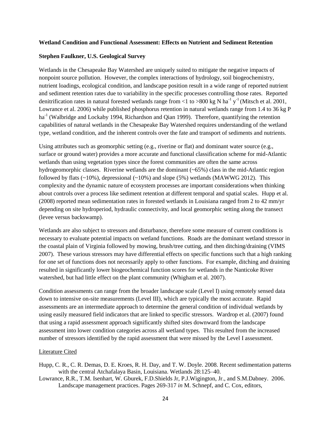### **Wetland Condition and Functional Assessment: Effects on Nutrient and Sediment Retention**

### **Stephen Faulkner, U.S. Geological Survey**

Wetlands in the Chesapeake Bay Watershed are uniquely suited to mitigate the negative impacts of nonpoint source pollution. However, the complex interactions of hydrology, soil biogeochemistry, nutrient loadings, ecological condition, and landscape position result in a wide range of reported nutrient and sediment retention rates due to variability in the specific processes controlling those rates. Reported denitrification rates in natural forested wetlands range from <1 to >800 kg N ha<sup>-1</sup> y<sup>-1</sup> (Mitsch et al. 2001, Lowrance et al. 2006) while published phosphorus retention in natural wetlands range from 1.4 to 36 kg P ha<sup>-1</sup> (Walbridge and Lockaby 1994, Richardson and Qian 1999). Therefore, quantifying the retention capabilities of natural wetlands in the Chesapeake Bay Watershed requires understanding of the wetland type, wetland condition, and the inherent controls over the fate and transport of sediments and nutrients.

Using attributes such as geomorphic setting (e.g., riverine or flat) and dominant water source (e.g., surface or ground water) provides a more accurate and functional classification scheme for mid-Atlantic wetlands than using vegetation types since the forest communities are often the same across hydrogeomorphic classes. Riverine wetlands are the dominant (~65%) class in the mid-Atlantic region followed by flats  $(\sim 10\%)$ , depressional  $(\sim 10\%)$  and slope (5%) wetlands (MAWWG 2012). This complexity and the dynamic nature of ecosystem processes are important considerations when thinking about controls over a process like sediment retention at different temporal and spatial scales. Hupp et al. (2008) reported mean sedimentation rates in forested wetlands in Louisiana ranged from 2 to 42 mm/yr depending on site hydroperiod, hydraulic connectivity, and local geomorphic setting along the transect (levee versus backswamp).

Wetlands are also subject to stressors and disturbance, therefore some measure of current conditions is necessary to evaluate potential impacts on wetland functions. Roads are the dominant wetland stressor in the coastal plain of Virginia followed by mowing, brush/tree cutting, and then ditching/draining (VIMS 2007). These various stressors may have differential effects on specific functions such that a high ranking for one set of functions does not necessarily apply to other functions. For example, ditching and draining resulted in significantly lower biogeochemical function scores for wetlands in the Nanticoke River watershed, but had little effect on the plant community (Whigham et al. 2007).

Condition assessments can range from the broader landscape scale (Level I) using remotely sensed data down to intensive on-site measurements (Level III), which are typically the most accurate. Rapid assessments are an intermediate approach to determine the general condition of individual wetlands by using easily measured field indicators that are linked to specific stressors. Wardrop et al. (2007) found that using a rapid assessment approach significantly shifted sites downward from the landscape assessment into lower condition categories across all wetland types. This resulted from the increased number of stressors identified by the rapid assessment that were missed by the Level I assessment.

### Literature Cited

- Hupp, C. R., C. R. Demas, D. E. Kroes, R. H. Day, and T. W. Doyle. 2008. Recent sedimentation patterns with the central Atchafalaya Basin, Louisiana. Wetlands 28:125–40.
- Lowrance, R.R., T.M. Isenhart, W. Gburek, F.D.Shields Jr, P.J.Wigington, Jr., and S.M.Dabney. 2006. Landscape management practices. Pages 269-317 *in* M. Schnepf, and C. Cox, editors,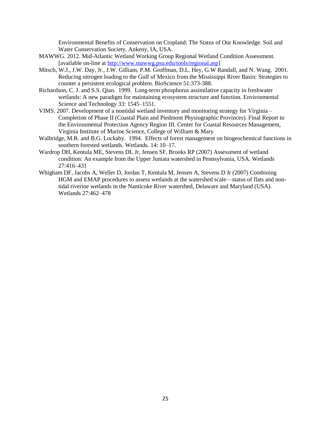Environmental Benefits of Conservation on Cropland: The Status of Our Knowledge. Soil and Water Conservation Society. Ankeny, IA, USA.

- MAWWG. 2012. Mid-Atlantic Wetland Working Group Regional Wetland Condition Assessment. [available on-line a[t http://www.mawwg.psu.edu/tools/regional.asp\]](http://www.mawwg.psu.edu/tools/regional.asp)
- Mitsch, W.J., J.W. Day, Jr., J.W. Gilliam, P.M. Groffman, D.L. Hey, G.W Randall, and N. Wang. 2001. Reducing nitrogen loading to the Gulf of Mexico from the Mississippi River Basin: Strategies to counter a persistent ecological problem. BioScience 51:373-388.
- Richardson, C. J. and S.S. Qian. 1999. Long-term phosphorus assimilative capacity in freshwater wetlands: A new paradigm for maintaining ecosystem structure and function. Environmental Science and Technology 33: 1545–1551.
- VIMS. 2007. Development of a nontidal wetland inventory and monitoring strategy for Virginia Completion of Phase II (Coastal Plain and Piedmont Physiographic Provinces). Final Report to the Environmental Protection Agency Region III. Center for Coastal Resources Management, Virginia Institute of Marine Science, College of William & Mary
- Walbridge, M.R. and B.G. Lockaby. 1994. Effects of forest management on biogeochemical functions in southern forested wetlands. Wetlands. 14: 10–17.
- Wardrop DH, Kentula ME, Stevens DL Jr, Jensen SF, Brooks RP (2007) Assessment of wetland condition: An example from the Upper Juniata watershed in Pennsylvania, USA. Wetlands 27:416–431
- Whigham DF, Jacobs A, Weller D, Jordan T, Kentula M, Jensen A, Stevens D Jr (2007) Combining HGM and EMAP procedures to assess wetlands at the watershed scale—status of flats and nontidal riverine wetlands in the Nanticoke River watershed, Delaware and Maryland (USA). Wetlands 27:462–478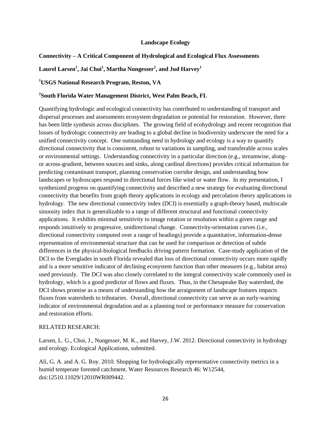# **Landscape Ecology**

# **Connectivity – A Critical Component of Hydrological and Ecological Flux Assessments**

# **Laurel Larsen<sup>1</sup> , Jai Choi<sup>1</sup> , Martha Nungesser<sup>2</sup> , and Jud Harvey<sup>1</sup>**

# **<sup>1</sup>USGS National Research Program, Reston, VA**

# **2 South Florida Water Management District, West Palm Beach, FL**

Quantifying hydrologic and ecological connectivity has contributed to understanding of transport and dispersal processes and assessments ecosystem degradation or potential for restoration. However, there has been little synthesis across disciplines. The growing field of ecohydrology and recent recognition that losses of hydrologic connectivity are leading to a global decline in biodiversity underscore the need for a unified connectivity concept. One outstanding need in hydrology and ecology is a way to quantify directional connectivity that is consistent, robust to variations in sampling, and transferable across scales or environmental settings. Understanding connectivity in a particular direction (e.g., streamwise, alongor across-gradient, between sources and sinks, along cardinal directions) provides critical information for predicting contaminant transport, planning conservation corridor design, and understanding how landscapes or hydroscapes respond to directional forces like wind or water flow. In my presentation, I synthesized progress on quantifying connectivity and described a new strategy for evaluating directional connectivity that benefits from graph theory applications in ecology and percolation theory applications in hydrology. The new directional connectivity index (DCI) is essentially a graph-theory based, multiscale sinuosity index that is generalizable to a range of different structural and functional connectivity applications. It exhibits minimal sensitivity to image rotation or resolution within a given range and responds intuitively to progressive, unidirectional change. Connectivity-orientation curves (i.e., directional connectivity computed over a range of headings) provide a quantitative, information-dense representation of environmental structure that can be used for comparison or detection of subtle differences in the physical-biological feedbacks driving pattern formation. Case-study application of the DCI to the Everglades in south Florida revealed that loss of directional connectivity occurs more rapidly and is a more sensitive indicator of declining ecosystem function than other measures (e.g., habitat area) used previously. The DCI was also closely correlated to the integral connectivity scale commonly used in hydrology, which is a good predictor of flows and fluxes. Thus, in the Chesapeake Bay watershed, the DCI shows promise as a means of understanding how the arraignment of landscape features impacts fluxes from watersheds to tributaries. Overall, directional connectivity can serve as an early-warning indicator of environmental degradation and as a planning tool or performance measure for conservation and restoration efforts.

# RELATED RESEARCH:

Larsen, L. G., Choi, J., Nungesser, M. K., and Harvey, J.W. 2012. Directional connectivity in hydrology and ecology. Ecological Applications, submitted.

Ali, G. A. and A. G. Roy. 2010. Shopping for hydrologically representative connectivity metrics in a humid temperate forested catchment. Water Resources Research 46: W12544, doi:12510.11029/12010WR009442.